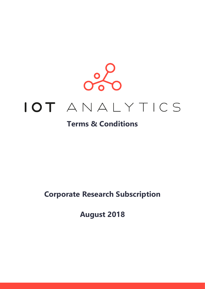

# IOT ANALYTICS

## **Terms & Conditions**

## **Corporate Research Subscription**

**August 2018**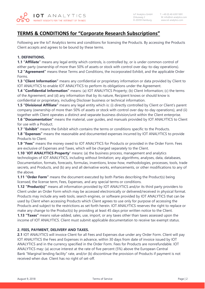

### **TERMS & CONDITIONS for "Corporate Research Subscriptions"**

Following are the IoT Analytics terms and conditions for licensing the Products. By accessing the Products Client accepts and agrees to be bound by these terms.

#### **1. DEFINITIONS.**

**1.1 "Affiliate"** means any legal entity which controls, is controlled by, or is under common control of either party (ownership of more than 50% of assets or stock with control over day-to-day operations). **1.2 "Agreement"** means these Terms and Conditions, the incorporated Exhibit, and the applicable Order

Forms. **1.3 "Client Information"** means any confidential or proprietary information or data provided by Client to IOT ANALYTICS to enable IOT ANALYTICS to perform its obligations under the Agreement.

**1.4 "Confidential Information"** means: (a) IOT ANALYTICS Property; (b) Client Information; (c) the terms of the Agreement; and (d) any information that by its nature, Recipient knows or should know is confidential or proprietary, including Discloser business or technical information.

**1.5 "Divisional Affiliate"** means any legal entity which is: (i) directly controlled by Client or Client's parent company (ownership of more than 50% of assets or stock with control over day-to-day operations), and (ii) together with Client operates a distinct and separate business division/unit within the Client enterprise.

**1.6 "Documentation"** means the material, user guides, and manuals provided by IOT ANALYTICS to Client for use with a Product.

**1.7 "Exhibit"** means the Exhibit which contains the terms or conditions specific to the Products.

**1.8 "Expenses"** means the reasonable and documented expenses incurred by IOT ANALYTICS to provide Products to Client.

**1.9 "Fees"** means the money owed to IOT ANALYTICS for Products or provided in the Order Form. Fees are exclusive of Expenses and Taxes, which will be charged separately to the Client.

**1.10** "**IOT ANALYTICS Property**" means: (a) the business process, management and analytics technologies of IOT ANALYTICS, including without limitation; any algorithms, analyses, data, databases, Documentation, formats, forecasts, formulas, inventions, know-how, methodologies, processes, tools, trade secrets, and Products, and (b) any and all derivative works, enhancements, or other modifications to any of the above.

**1.11 "Order Form"** means the document executed by both Parties describing the Product(s) being licensed, the license term, Fees, Expenses, and any special terms or conditions.

**1.12 "Product(s)"** means all information provided by IOT ANALYTICS and/or its third party providers to Client under an Order Form which may be accessed electronically or delivered/received in physical format. Products may include any web tools, search engines, or software provided by IOT ANALYTICS that can be used by Client when accessing Products which Client agrees to use only for purpose of accessing the Products and subject to the restrictions as set forth herein. IOT ANALYTICS reserves the right to replace or make any change to the Product(s) by providing at least 45 days prior written notice to the Client.

**1.13 "Taxes"** means value-added, sales, use, import, or any taxes other than taxes assessed upon the income of IOT ANALYTICS. Client must submit applicable documentation to receive tax exempt status.

#### **2. FEES, PAYMENT, DELIVERY AND TAXES.**

**2.1** IOT ANALYTICS will invoice Client for all Fees and Expenses due under any Order Form. Client will pay IOT ANALYTICS the Fees and Expenses in advance, within 30 days from date of invoice issued by IOT ANALYTICS and in the currency specified in the Order Form. Fees for Products are nonrefundable. IOT ANALYTICS may: (a) accrue interest at the rate of five percent (5%) above the European Central Bank "Marginal lending facility" rate, and/or (b) discontinue the provision of Products if payment is not received when due. Client has no right of set-off.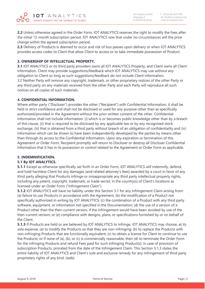**2.2** Unless otherwise agreed in the Order Form, IOT ANALYTICS reserves the right to modify the Fees after the initial 12-month subscription period. IOT ANALYTICS vow that under no circumstances will the price change within the agreed subscription period.

**2.3** Delivery of Products is deemed to occur and risk of loss passes upon delivery or when IOT ANALYTICS provides access codes to Client that allow Client to access or to take immediate possession of Product.

#### **3. OWNERSHIP OF INTELLECTUAL PROPERTY.**

**3.1** IOT ANALYTICS or its third party providers owns all IOT ANALYTICS Property, and Client owns all Client Information. Client may provide suggestions/feedback which IOT ANALYTICS may use without any obligation to Client so long as such suggestions/feedback do not include Client Information. 3.2 Neither Party will remove any copyright, trademark, or other proprietary notices of the other Party or any third party on any materials received from the other Party and each Party will reproduce all such notices on all copies of such materials.

#### **4. CONFIDENTIAL INFORMATION.**

Where either party ("Discloser") provides the other ("Recipient") with Confidential Information, it shall be held in strict confidence and shall not be disclosed or used for any purpose other than as specifically authorized/provided in the Agreement without the prior written consent of the other. Confidential Information shall not include information: (i) which is or becomes public knowledge other than by a breach of this clause, (ii) that is required to be disclosed by any applicable law or by any recognized stock exchange, (iii) that is obtained from a third party without breach of an obligation of confidentiality and (iv) information which can be shown to have been independently developed by the parties by means other than through its access to the Confidential Information. Upon any expiration or termination of this Agreement or Order Form, Recipient promptly will return to Discloser or destroy all Discloser Confidential Information that it has in its possession or control related to the Agreement or Order Form as applicable.

#### **5. INDEMNIFICATION.**

#### **5.1 By IOT ANALYTICS.**

**5.1.1** Except as otherwise specifically set forth in an Order Form, IOT ANALYTICS will indemnify, defend, and hold harmless Client for any damages (and related attorney's fees) awarded by a court in favor of any third party alleging that Products infringe or misappropriate any third party intellectual property rights, including any patent, copyright, trademark, or trade secret, in the country(s) of Client's locations as licensed under an Order Form ("Infringement Claim").

**5.1.2** IOT ANALYTICS will have no liability under this Section 5.1 for any Infringement Claim arising from: (a) failure to use Products in accordance with the Agreement, (b) the modification of a Product not specifically authorized in writing by IOT ANALYTICS; (c) the combination of a Product with any third party software, equipment, or information not specified in the Documentation; (d) the use of a version of a Product other than the then-current version, if the infringement would have been avoided by use of the then-current version; or (e) compliance with designs, plans, or specifications furnished by or on behalf of the Client.

**5.1.3** If Products are held or are believed by IOT ANALYTICS to infringe, IOT ANALYTICS may choose, at its sole expense, (a) to modify the Products so that they are non-infringing; (b) to replace the Products with non-infringing Products that are functionally equivalent; (c) to obtain a license for Client to continue to use the Products; or if none of (a), (b), or (c) is commercially reasonable, then (d) to terminate the Order Form for the infringing Products and refund Fees paid for such infringing Product(s); in case of provision of subscription Products, prorated from the date of the Infringement Claim. This Section 5.1.3 states the entire liability of IOT ANALYTICS and Client's sole and exclusive remedy for any infringement of third party proprietary rights of any kind. (web)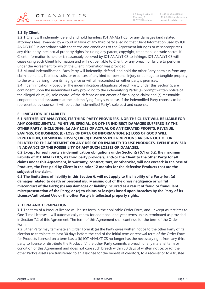#### **5.2 By Client.**

**5.2.1** Client will indemnify, defend and hold harmless IOT ANALYTICS for any damages (and related attorney's fees) awarded by a court in favor of any third party alleging that Client Information used by IOT ANALYTICS in accordance with the terms and conditions of the Agreement infringes or misappropriates any third party intellectual property rights including any patent, copyright, trademark, or trade secret. If Client Information is held or is reasonably believed by IOT ANALYTICS to infringe, IOT ANALYTICS will cease using such Client Information and will not be liable to Client for any breach or failure to perform under the Agreement for which the Client Information was provided.

**5.3** Mutual Indemnification: Each Party will indemnify, defend, and hold the other Party harmless from any claim, demands, liabilities, suits, or expenses of any kind for personal injury or damage to tangible property to the extent arising from its negligence or willful misconduct on either party's premises.

**5.4** Indemnification Procedure. The indemnification obligations of each Party under this Section 5, are contingent upon the indemnified Party providing to the indemnifying Party: (a) prompt written notice of the alleged claim; (b) sole control of the defense or settlement of the alleged claim; and (c) reasonable cooperation and assistance, at the indemnifying Party's expense. If the indemnified Party chooses to be represented by counsel, it will be at the indemnified Party's sole cost and expense.

#### **6. LIMITATION OF LIABILITY.**

**6.1 NEITHER IOT ANALYTICS, ITS THIRD PARTY PROVIDERS, NOR THE CLIENT WILL BE LIABLE FOR ANY CONSEQUENTIAL, PUNITIVE, SPECIAL, OR OTHER INDIRECT DAMAGES SUFFERED BY THE OTHER PARTY, INCLUDING: (a) ANY LOSS OF ACTUAL OR ANTICIPATED PROFITS, REVENUE, SAVINGS, OR BUSINESS; (b) LOSS OF DATA OR INFORMATION; (c) LOSS OF GOOD WILL, REPUTATION, OR SIMILAR LOSSES; OR (d) BUSINESS INTERRUPTIONS ARISING OUT OF OR RELATED TO THE AGREEMENT OR ANY USE OF OR INABILITY TO USE PRODUCTS, EVEN IF ADVISED IN ADVANCE OF THE POSSIBILITY OF ANY SUCH LOSSES OR DAMAGES.**

**6.2 Except for each party's indemnification obligations under Section(s) 5.1 or 5.2, the maximum liability of IOT ANALYTICS, its third party providers, and/or the Client to the other Party for all claims under this Agreement, in warranty, contract, tort, or otherwise, will not exceed: in the case of Products, the Fees paid by Client in the prior 12 months for the defective Products that are the subject of the claim.** 

**6.3 The limitations of liability in this Section 6. will not apply to the liability of a Party for: (a) damages related to death or personal injury arising out of the gross negligence or willful misconduct of the Party; (b) any damages or liability incurred as a result of fraud or fraudulent misrepresentation of the Party; or (c) to claims or loss(es) based upon breaches by the Party of its License/Authorized Use or the other Party's intellectual property rights.** 

#### **7. TERM AND TERMINATION.**

**7.1** The term of a Product license will be set forth in the applicable Order Form, and - except as it relates to One-Time Licenses - will automatically renew for additional one-year terms unless terminated as provided in Section 7.2 of this Agreement. The term of this Agreement shall continue for the term of the Order Form.

**7.2** Either Party may terminate an Order Form if: (a) the Party gives written notice to the other Party of its election to terminate at least 30 days before the end of the initial term or renewal term of the Order Form for Products licensed on a term basis; (b) IOT ANALYTICS no longer has the necessary right from any third party to license or distribute the Product; (c) the other Party commits a breach of any material term or condition of this Agreement and does not cure such breach within 30 days of written notice; or (d) the other Party's assets are transferred to an assignee for the benefit of creditors, to a receiver or to a trustee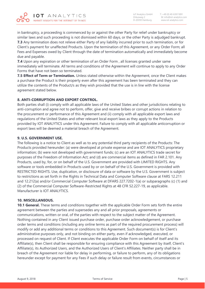in bankruptcy, a proceeding is commenced by or against the other Party for relief under bankruptcy or similar laws and such proceeding is not dismissed within 60 days, or the other Party is adjudged bankrupt. **7.3** Any termination does not relieve either Party of any liability incurred prior to such termination, or for Client's payment for unaffected Products. Upon the termination of this Agreement, or any Order Form; all Fees and Expenses owed by Client through the date of termination automatically and immediately become due and payable.

**7.4** Upon any expiration or other termination of an Order Form , all licenses granted under same immediately will terminate. All terms and conditions of the Agreement will continue to apply to any Order Forms that have not been so terminated.

**7.5 Effect of Term or Termination.** Unless stated otherwise within the Agreement, once the Client makes a purchase the Product is their property even after this agreement has been terminated and they can utilize the contents of the Product/s as they wish provided that the use is in line with the license agreement stated below.

#### **8. ANTI-CORRUPTION AND EXPORT CONTROL.**

Both parties shall (i) comply with all applicable laws of the United States and other jurisdictions relating to anti-corruption and agree not to perform, offer, give and receive bribes or corrupt actions in relation to the procurement or performance of this Agreement and (ii) comply with all applicable export laws and regulations of the United States and other relevant local export laws as they apply to the Products provided by IOT ANALYTICS under this Agreement. Failure to comply with all applicable anticorruption or export laws will be deemed a material breach of the Agreement.

#### **9. U.S. GOVERNMENT USE.**

The following is a notice to Client as well as to any potential third party recipients of the Products: The Products provided hereunder: (a) were developed at private expense and are IOT ANALYTICS proprietary information; (b) were not developed with government funds; (c) are an IOT ANALYTICS trade secret for purposes of the Freedom of Information Act; and (d) are commercial items as defined in FAR 2.101. Any Products, used by, for, or on behalf of the U.S. Government are provided with LIMITED RIGHTS. Any software or tools embedded in Products used by or on behalf of the U.S. Government is provided with RESTRICTED RIGHTS. Use, duplication, or disclosure of data or software by the U.S. Government is subject to restrictions as set forth in the Rights in Technical Data and Computer Software clause at FARS 12.211 and 12.212(a) and/or Commercial Computer Software at DFARS 227.7202-1(a) or subparagraphs (c) (1) and (2) of the Commercial Computer Software-Restricted Rights at 48 CFR 52.227-19, as applicable. Manufacturer is IOT ANALYTICS.

#### **10. MISCELLANEOUS.**

**10.1 General.** These terms and conditions together with the applicable Order Form sets forth the entire agreement between the parties and supersedes any and all prior proposals, agreements or communications, written or oral, of the parties with respect to the subject matter of the Agreement. Nothing contained in any Client issued purchase order, purchase order acknowledgement, or purchase order terms and conditions (including any online terms as part of the required procurement process) will modify or add any additional terms or conditions to this Agreement. Such document(s) is for Client's administrative purposes only, and not binding on either party, even if acknowledged, executed, or processed on request of Client. If Client executes the applicable Order Form on behalf of itself and its Affiliate(s), then Client shall be responsible for ensuring compliance with this Agreement by itself, Client's Affiliate(s), its Authorized Users, and the Authorized Users of Client's Affiliates. Neither party shall be in breach of the Agreement nor liable for delay in performing, or failure to perform, any of its obligations hereunder except for payment for any Fees if such delay or failure result from events, circumstances or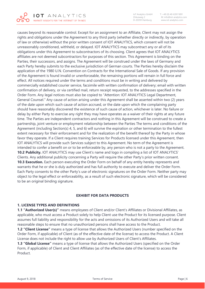

 IoT Analytics GmbH T: +49 (0) 40-63911891 Zirkusweg 2 M: info@iot-analytics.com www.iot-analytics.com

causes beyond its reasonable control. Except for an assignment to an Affiliate, Client may not assign the rights and obligations under the Agreement to any third party (whether directly or indirectly, by operation of law or otherwise) without the prior written consent of IOT ANALYTICS, which consent will not be unreasonably conditioned, withheld, or delayed. IOT ANALYTICS may subcontract any or all of its obligations under this Agreement to subcontractors of its choosing. Client agrees that IOT ANALYTICS affiliates are not deemed subcontractors for purposes of this section. This Agreement is binding on the Parties, their successors, and assigns. The Agreement will be construed under the laws of Germany and each Party hereby submits to the exclusive jurisdiction of German courts. The Parties hereby disclaim the application of the 1980 U.N. Convention on Contracts for the International Sale of Goods. If any provision of the Agreement is found invalid or unenforceable, the remaining portions will remain in full force and effect. All notices required under the terms and conditions must be in writing and delivered by commercially established courier service, facsimile with written confirmation of delivery; email with written confirmation of delivery, or via certified mail, return receipt requested, to the addresses specified in the Order Form. Any legal notices must also be copied to "Attention: IOT ANALYTICS Legal Department, General Counsel." Any cause of action arising under this Agreement shall be asserted within two (2) years of the date upon which such cause of action accrued, or the date upon which the complaining party should have reasonably discovered the existence of such cause of action, whichever is later. No failure or delay by either Party to exercise any right they may have operates as a waiver of their rights at any future time. The Parties are independent contractors and nothing in this Agreement will be construed to create a partnership, joint venture or employment relationship between the Parties The terms and conditions of the Agreement (including Section(s) 4, 5, and 6) will survive the expiration or other termination to the fullest extent necessary for their enforcement and for the realization of the benefit thereof by the Party in whose favor they operate. If a Client requires training Services for Products licensed under this Agreement, then IOT ANALYTICS will provide such Services subject to this Agreement. No term of the Agreement is intended to confer a benefit on or to be enforceable by, any person who is not a party to the Agreement. **10.2 Publicity.** IOT ANALYTICS may use Client's name and logo in compiling a list of IOT ANALYTICS' Clients. Any additional publicity concerning a Party will require the other Party's prior written consent. **10.3 Execution.** Each person executing the Order Form on behalf of any entity hereby represents and warrants that he or she is duly authorized and has full authority to execute and deliver the Order Form. Each Party consents to the other Party's use of electronic signatures on the Order Form. Neither party may object to the legal effect or enforceability, as a result of such electronic signature, which will be considered to be an original binding signature.

#### **EXHIBIT FOR DATA PRODUCTS**

#### **1. LICENSE TYPES AND DEFINITIONS**

**1.1 "Authorized User(s)"** means employees of Client and/or Client's Affiliates or Divisional Affiliates, as applicable, who must access a Product solely to help Client use the Product for its licensed purpose. Client assumes full liability and responsibility for the acts and omissions of its Authorized Users and will take all reasonable steps to ensure that no unauthorized persons shall have access to the Product.

**1.2 "Client License"** means a type of license that allows the Authorized Users (number specified on the Order Form, if applicable) of Client (as of the effective date of the license) to access the Product. A Client License does not include the right to allow use by Authorized Users of Client's Affiliates.

**1.3 "Global License"** means a type of license that allows the Authorized Users (specified on the Order Form, if applicable) of Client and Client Affiliates (as of the effective date of the license) to access the Product.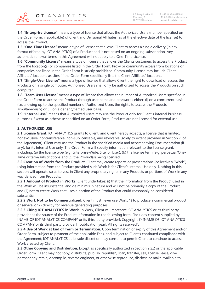

**1.4 "Enterprise License"** means a type of license that allows the Authorized Users (number specified on the Order Form, if applicable) of Client and Divisional Affiliates (as of the effective date of the license) to access the Product.

**1.5 "One-Time License"** means a type of license that allows Client to access a single delivery (in any format offered by IOT ANALYTICS) of a Product and is not based on an ongoing subscription. Any automatic renewal terms in this Agreement will not apply to a One-Time License.

**1.6 "Community License"** means a type of license that allows the Clients customers to access the Product from the location(s) or companies listed in the Order Form. Proxy or community access from locations or companies not listed in the Order Form is strictly prohibited. Community License may include Client Affiliates' locations as sites, if the Order Form specifically lists the Client Affiliates' locations.

**1.7 "Single-User License"** means a type of license that allows Client the right to download or access the Products on a single computer. Authorized Users shall only be authorized to access the Products on such computer.

**1.8 "Team User License**" means a type of license that allows the number of Authorized Users specified in the Order Form to access the Product through user name and passwords either: (i) on a concurrent basis (i.e. allowing up to the specified number of Authorized Users the rights to access the Products simultaneously) or (ii) on a generic/named user basis.

**1.9 "Internal Use"** means that Authorized Users may use the Product only for Client's internal business purposes. Except as otherwise specified on an Order Form, Products are not licensed for external use.

#### **2. AUTHORIZED USE**

2.1 License Grant. IOT ANALYTICS grants to Client, and Client hereby accepts, a license that is limited, nonexclusive, nontransferable, non-sublicensable, and revocable (solely to extent provided in Section 7, of the Agreement). Client may use the Product in the specified media and accompanying Documentation (if any), for its Internal Use only. The Order Form will specify information relevant to the license grant, including: (a) the license type (e.g. Enterprise-Wide, Site, or User), (b) the license term (e.g. perpetual/One-Time or term/subscription), and (c) the Product(s) being licensed.

**2.2 Creation of Works from the Product**. Client may create reports or presentations (collectively "Work") using information from the Product provided such Work is for Client's Internal Use only. Nothing in this section will operate so as to vest in Client any proprietary rights in any Products or portions of Work in any way derived from Products.

**2.2.1 Amount of Product in Works.** Client undertakes: (i) that the information from the Product used in the Work will be insubstantial and de minimis in nature and will not be primarily a copy of the Product, and (ii) not to create Work that uses a portion of the Product that could reasonably be considered substantial.

**2.2.2 Work Not to be Commercialized.** Client must never use Work: 1) to produce a commercial product or service, or 2) directly for revenue generating purposes.

**2.2.3 Citing IOT ANALYTICS in Work.** In Work, Client will represent IOT ANALYTICS or its third party provider as the source of the Product information in the following form: "Includes content supplied by [NAME OF IOT ANALYTICS COMPANY or its third party provider]; Copyright © [NAME OF IOT ANALYTICS COMPANY or its third party provider], [publication year]. All rights reserved".

**2.2.4 Use of Work at End of Term or Termination.** Upon termination or expiry of this Agreement and/or Order Form, subject to payment of the applicable Fees, and subject to Client's continued compliance with the Agreement; IOT ANALYTICS at its sole discretion may consent to permit Client to continue to access Work created by Client.

**2.3 Other Copying and Distribution.** Except as specifically authorized in Section 2.2.2 or the applicable Order Form, Client may not copy, distribute, publish, republish, scan, transfer, sell, license, lease, give, permanently retain, decompile, reverse engineer, or otherwise reproduce, disclose or make available to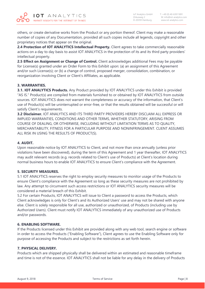ANALYTICS  $IOT$ MARKET INSIGHTS FOR THE INTERNET OF THINGS

others, or create derivative works from the Product or any portion thereof. Client may make a reasonable number of copies of any Documentation, provided all such copies include all legends, copyright and other proprietary notices that appear on the original.

**2.4 Protection of IOT ANALYTICS Intellectual Property.** Client agrees to take commercially reasonable actions on a day to day basis to assist IOT ANALYTICS in the protection of its and its third party providers' intellectual property.

**2.5 Effect on Assignment or Change of Control.** Client acknowledges additional Fees may be payable for License(s) granted under an Order Form to this Exhibit upon: (a) an assignment of this Agreement and/or such License(s); or (b) a change of control, proposed merger, consolidation, combination, or reorganization involving Client or Client's Affiliates, as applicable.

#### **3. WARRANTIES.**

**3.1. IOT ANALYTICS Products.** Any Product provided by IOT ANALYTICS under this Exhibit is provided "AS IS." Product(s) are compiled from materials furnished to or obtained by IOT ANALYTICS from outside sources. IOT ANALYTICS does not warrant the completeness or accuracy of the information, that Client's use of Product(s) will be uninterrupted or error-free, or that the results obtained will be successful or will satisfy Client's requirements.

**3.2 Disclaimer.** IOT ANALYTICS AND ITS THIRD PARTY PROVIDERS HEREBY DISCLAIM ALL EXPRESS OR IMPLIED WARRANTIES, CONDITIONS AND OTHER TERMS, WHETHER STATUTORY, ARISING FROM COURSE OF DEALING, OR OTHERWISE, INCLUDING WITHOUT LIMITATION TERMS AS TO QUALITY, MERCHANTABILITY, FITNESS FOR A PARTICULAR PURPOSE AND NONINFRINGEMENT. CLIENT ASSUMES ALL RISK IN USING THE RESULTS OF PRODUCT(S).

#### **4. AUDIT.**

Upon reasonable notice by IOT ANALYTICS to Client, and not more than once annually (unless prior violations have been discovered), during the term of this Agreement and 1 year thereafter, IOT ANALYTICS may audit relevant records (e.g. records related to Client's use of Products) at Client's location during normal business hours to enable IOT ANALYTICS to ensure Client's compliance with the Agreement.

#### **5. SECURITY MEASURES.**

5.1 IOT ANALYTICS reserves the right to employ security measures to monitor usage of the Products to ensure Client's compliance with the Agreement so long as these security measures are not prohibited by law. Any attempt to circumvent such access restrictions or IOT ANALYTICS security measures will be considered a material breach of this Exhibit.

5.2 For certain Products, IOT ANALYTICS will issue to Client a password to access the Products, which Client acknowledges is only for Client's and its Authorized Users' use and may not be shared with anyone else. Client is solely responsible for all use, authorized or unauthorized, of Products (including use by Authorized Users). Client must notify IOT ANALYTICS immediately of any unauthorized use of Products and/or passwords.

#### **6. ENABLING SOFTWARE.**

If the Products licensed under this Exhibit are provided along with any web tool, search engine or software in order to access the Products ("Enabling Software"), Client agrees to use the Enabling Software only for purpose of accessing the Products and subject to the restrictions as set forth herein.

#### **7. PHYSICAL DELIVERY.**

Products which are shipped physically shall be delivered within an estimated and reasonable timeframe and time is not of the essence. IOT ANALYTICS shall not be liable for any delay in the delivery of Products